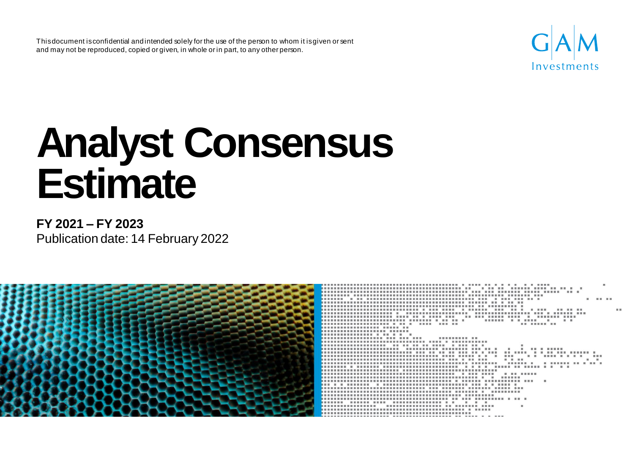This document is confidential and intended solely for the use of the person to whom it is given or sent and may not be reproduced, copied or given, in whole or in part, to any other person.



## **Analyst Consensus Estimate**

**FY 2021 – FY 2023** Publication date: 14 February 2022

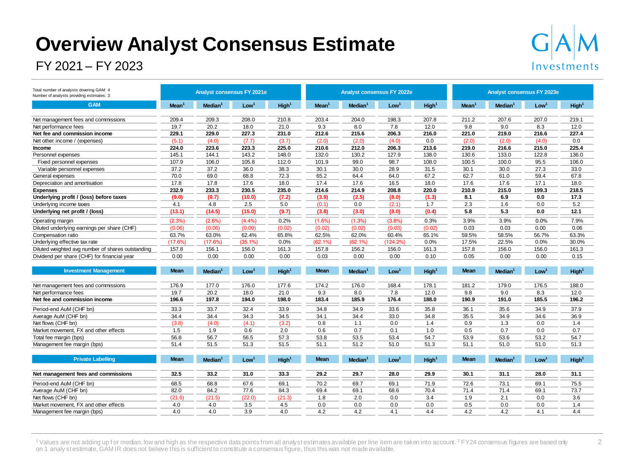## **Overview Analyst Consensus Estimate**



## FY 2021 – FY 2023

| Total number of analysts dovering GAM: 4<br>Number of analysts providing estimates: 3 | Analyst consensus FY 2021e |                     |                  |                   | Analyst consensus FY 2022e |                     |                  |                   | Analyst consensus FY 2023e |                     |                  |                   |
|---------------------------------------------------------------------------------------|----------------------------|---------------------|------------------|-------------------|----------------------------|---------------------|------------------|-------------------|----------------------------|---------------------|------------------|-------------------|
| <b>GAM</b>                                                                            | <b>Mean</b>                | Median <sup>1</sup> | Low <sup>1</sup> | High <sup>1</sup> | Mean <sup>1</sup>          | Median <sup>1</sup> | Low <sup>1</sup> | High <sup>1</sup> | <b>Mean</b>                | Median <sup>1</sup> | Low <sup>1</sup> | High <sup>1</sup> |
|                                                                                       |                            |                     |                  |                   |                            |                     |                  |                   |                            |                     |                  |                   |
| Net management fees and commissions                                                   | 209.4                      | 209.3               | 208.0            | 210.8             | 203.4                      | 204.0               | 198.3            | 207.8             | 211.2                      | 207.6               | 207.0            | 219.1             |
| Net performance fees                                                                  | 19.7                       | 20.2                | 18.0             | 21.0              | 9.3                        | 8.0                 | 7.8              | 12.0              | 9.8                        | 9.0                 | 8.3              | 12.0              |
| Net fee and commission income                                                         | 229.1                      | 229.0               | 227.3            | 231.0             | 212.6                      | 215.6               | 206.3            | 216.0             | 221.0                      | 219.0               | 216.6            | 227.4             |
| Net other income / (expenses)                                                         | (5.1)                      | (4.0)               | (7.7)            | (3.7)             | (2.0)                      | (2.0)               | (4.0)            | 0.0               | (2.0)                      | (2.0)               | (4.0)            | 0.0               |
| Income                                                                                | 224.0                      | 223.6               | 223.3            | 225.0             | 210.6                      | 212.0               | 206.3            | 213.6             | 219.0                      | 216.6               | 215.0            | 225.4             |
| Personnel expenses                                                                    | 145.1                      | 144.1               | 143.2            | 148.0             | 132.0                      | 130.2               | 127.9            | 138.0             | 130.6                      | 133.0               | 122.8            | 136.0             |
| Fixed personnel expenses                                                              | 107.9                      | 106.0               | 105.8            | 112.0             | 101.9                      | 99.0                | 98.7             | 108.0             | 100.5                      | 100.0               | 95.5             | 106.0             |
| Variable personnel expenses                                                           | 37.2                       | 37.2                | 36.0             | 38.3              | 30.1                       | 30.0                | 28.9             | 31.5              | 30.1                       | 30.0                | 27.3             | 33.0              |
| General expenses                                                                      | 70.0                       | 69.0                | 68.8             | 72.3              | 65.2                       | 64.4                | 64.0             | 67.2              | 62.7                       | 61.0                | 59.4             | 67.8              |
| Depreciation and amortisation                                                         | 17.8                       | 17.8                | 17.6             | 18.0              | 17.4                       | 17.6                | 16.5             | 18.0              | 17.6                       | 17.6                | 17.1             | 18.0              |
| <b>Expenses</b>                                                                       | 232.9                      | 233.3               | 230.5            | 235.0             | 214.6                      | 214.9               | 208.8            | 220.0             | 210.9                      | 215.0               | 199.3            | 218.5             |
| Underlying profit / (loss) before taxes                                               | (9.0)                      | (9.7)               | (10.0)           | (7.2)             | (3.9)                      | (2.5)               | (8.0)            | (1.3)             | 8.1                        | 6.9                 | 0.0              | 17.3              |
| Underlying income taxes                                                               | 4.1                        | 4.8                 | 2.5              | 5.0               | (0.1)                      | 0.0                 | (2.1)            | 1.7               | 2.3                        | 1.6                 | 0.0              | 5.2               |
| Underlying net profit / (loss)                                                        | (13.1)                     | (14.5)              | (15.0)           | (9.7)             | (3.8)                      | (3.0)               | (8.0)            | (0.4)             | 5.8                        | 5.3                 | 0.0              | 12.1              |
| Operating margin                                                                      | (2.3%)                     | (2.6%)              | (4.4%            | 0.2%              | (1.6%)                     | (1.3%               | (3.8%)           | 0.3%              | 3.9%                       | 3.9%                | 0.0%             | 7.9%              |
| Diluted underlying earnings per share (CHF)                                           | (0.06)                     | (0.06)              | (0.09)           | (0.02)            | (0.02)                     | (0.02)              | (0.03)           | (0.02)            | 0.03                       | 0.03                | 0.00             | 0.06              |
| Compensation ratio                                                                    | 63.7%                      | 63.0%               | 62.4%            | 65.8%             | 62.5%                      | 62.0%               | 60.4%            | 65.1%             | 59.5%                      | 58.5%               | 56.7%            | 63.3%             |
| Underlying effective tax rate                                                         | (17.6%)                    | (17.6%)             | (35.1%           | 0.0%              | (62.1%)                    | (62.1%)             | (124.2%)         | 0.0%              | 17.5%                      | 22.5%               | 0.0%             | 30.0%             |
| Diluted weighted avg number of shares outstanding                                     | 157.8                      | 156.1               | 156.0            | 161.3             | 157.8                      | 156.2               | 156.0            | 161.3             | 157.8                      | 156.0               | 156.0            | 161.3             |
| Dividend per share (CHF) for financial year                                           | 0.00                       | 0.00                | 0.00             | 0.00              | 0.03                       | 0.00                | 0.00             | 0.10              | 0.05                       | 0.00                | 0.00             | 0.15              |
|                                                                                       |                            |                     |                  |                   |                            |                     |                  |                   |                            |                     |                  |                   |
| <b>Investment Management</b>                                                          | <b>Mean</b>                | Median <sup>1</sup> | Low <sup>1</sup> | High <sup>1</sup> | <b>Mean</b>                | Median <sup>1</sup> | Low <sup>1</sup> | High <sup>1</sup> | <b>Mean</b>                | Median <sup>1</sup> | Low <sup>1</sup> | High <sup>1</sup> |
|                                                                                       |                            |                     |                  |                   |                            |                     |                  |                   |                            |                     |                  |                   |

| Net management fees and commissions   | 176.9  | 177.0         | 176.0  | 177.6             | 174.2 | 176.0               | 168.4            | 178.1             | 181.2 | 179.0         | 176.5 | 188.0             |
|---------------------------------------|--------|---------------|--------|-------------------|-------|---------------------|------------------|-------------------|-------|---------------|-------|-------------------|
| Net performance fees                  | 19.7   | 20.2          | 18.0   | 21.0              | 9.3   | 8.0                 | 7.8              | 12.0              | 9.8   | 9.0           | 8.3   | 12.0              |
| Net fee and commission income         | 196.6  | 197.8         | 194.0  | 198.0             | 183.4 | 185.9               | 176.4            | 188.0             | 190.9 | 191.0         | 185.5 | 196.2             |
| Period-end AuM (CHF bn)               | 33.3   | 33.7          | 32.4   | 33.9              | 34.8  | 34.9                | 33.6             | 35.8              | 36.1  | 35.6          | 34.9  | 37.9              |
| Average AuM (CHF bn)                  | 34.4   | 34.4          | 34.3   | 34.5              | 34.1  | 34.4                | 33.0             | 34.8              | 35.5  | 34.9          | 34.6  | 36.9              |
| Net flows (CHF bn)                    | (3.8)  | (4.0)         | (4.1)  | (3.2)             | 0.8   | 1.1                 | 0.0              | 1.4               | 0.9   | 1.3           | 0.0   | 1.4               |
| Market movement. FX and other effects | 1.5    | 1.9           | 0.6    | 2.0               | 0.6   | 0.7                 | 0.1              | 1.0               | 0.5   | 0.7           | 0.0   | 0.7               |
| Total fee margin (bps)                | 56.8   | 56.7          | 56.5   | 57.3              | 53.8  | 53.5                | 53.4             | 54.7              | 53.9  | 53.6          | 53.2  | 54.7              |
| Management fee margin (bps)           | 51.4   | 51.5          | 51.3   | 51.5              | 51.1  | 51.2                | 51.0             | 51.3              | 51.1  | 51.0          | 51.0  | 51.3              |
|                                       |        |               |        |                   |       |                     |                  |                   |       |               |       |                   |
| <b>Private Labelling</b>              | Mean   | <b>Median</b> | Low    | High <sup>1</sup> | Mean  | Median <sup>1</sup> | Low <sup>1</sup> | High <sup>1</sup> | Mean  | <b>Median</b> | Low   | High <sup>1</sup> |
|                                       |        |               |        |                   |       |                     |                  |                   |       |               |       |                   |
| Net management fees and commissions   | 32.5   | 33.2          | 31.0   | 33.3              | 29.2  | 29.7                | 28.0             | 29.9              | 30.1  | 31.1          | 28.0  | 31.1              |
| Period-end AuM (CHF bn)               | 68.5   | 68.8          | 67.6   | 69.1              | 70.2  | 69.7                | 69.1             | 71.9              | 72.6  | 73.1          | 69.1  | 75.5              |
| Average AuM (CHF bn)                  | 82.0   | 84.2          | 77.6   | 84.3              | 69.4  | 69.1                | 68.6             | 70.4              | 71.4  | 71.4          | 69.1  | 73.7              |
| Net flows (CHF bn)                    | (21.6) | (21.5)        | (22.0) | (21.3)            | 1.8   | 2.0                 | 0.0              | 3.4               | 1.9   | 2.1           | 0.0   | 3.6               |
| Market movement, FX and other effects | 4.0    | 4.0           | 3.5    | 4.5               | 0.0   | 0.0                 | 0.0              | 0.0               | 0.5   | 0.0           | 0.0   | 1.4               |
| Management fee margin (bps)           | 4.0    | 4.0           | 3.9    | 4.0               | 4.2   | 4.2                 | 4.1              | 4.4               | 4.2   | 4.2           | 4.1   | 4.4               |

<sup>1</sup> Values are not adding up for medan, low and high as the respective data points from all analyst estimates available per line item are taken into account. <sup>2</sup> FY24 consensus figures are based only on 1 analy st estimate, GAM IR does not believe this is sufficient to constitute a consensus figure, thus this was not made available.